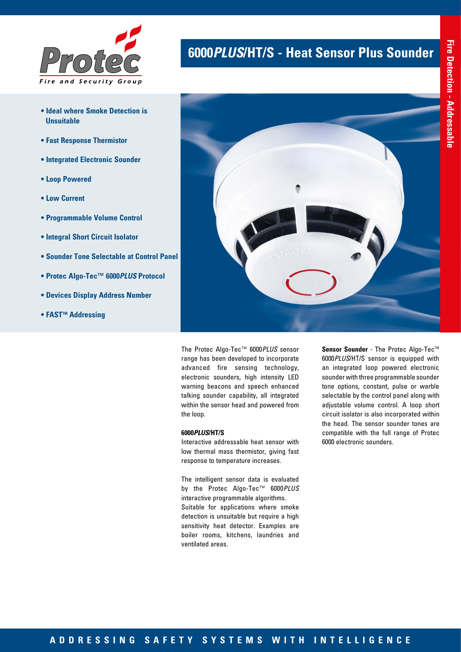

- **Ideal where Smoke Detection is Unsuitable**
- **Fast Response Thermistor**
- **Integrated Electronic Sounder**
- **Loop Powered**
- **Low Current**
- **Programmable Volume Control**
- **Integral Short Circuit Isolator**
- **Sounder Tone Selectable at Control Panel**
- **Protec Algo-Tec™ 6000***PLUS* **Protocol**
- **Devices Display Address Number**
- **FAST<sup>™</sup> Addressing**

# **6000***PLUS***/HT/S - Heat Sensor Plus Sounder**



The Protec Algo-Tec™ 6000*PLUS* sensor range has been developed to incorporate advanced fire sensing technology, electronic sounders, high intensity LED warning beacons and speech enhanced talking sounder capability, all integrated within the sensor head and powered from the loop.

## **6000***PLUS***/HT/S**

Interactive addressable heat sensor with low thermal mass thermistor, giving fast response to temperature increases.

The intelligent sensor data is evaluated by the Protec Algo-Tec™ 6000*PLUS* interactive programmable algorithms. Suitable for applications where smoke detection is unsuitable but require a high sensitivity heat detector. Examples are boiler rooms, kitchens, laundries and ventilated areas.

Sensor Sounder - The Protec Algo-Tec<sup>™</sup> 6000*PLUS*/HT/S sensor is equipped with an integrated loop powered electronic sounder with three programmable sounder tone options, constant, pulse or warble selectable by the control panel along with adjustable volume control. A loop short circuit isolator is also incorporated within the head. The sensor sounder tones are compatible with the full range of Protec 6000 electronic sounders.